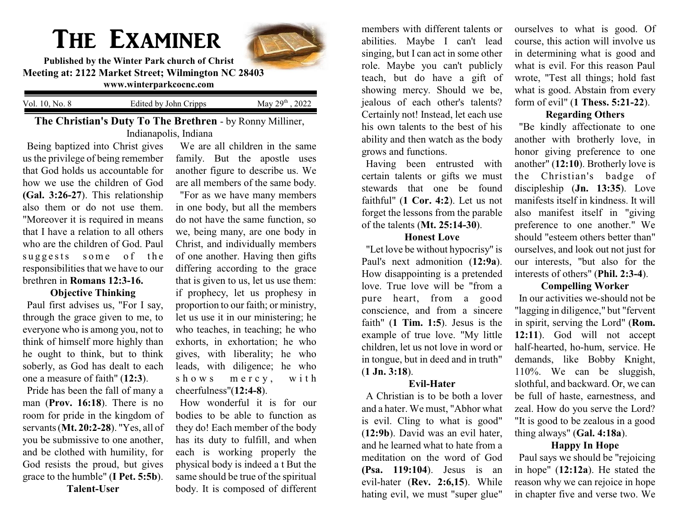# The Examiner



**Published by the Winter Park church of Christ Meeting at: 2122 Market Street; Wilmington NC 28403 www.winterparkcocnc.com** 

Vol. 10, No. 8 Edited by John Cripps  $\mathrm{^{th}}$  , 2022

**The Christian's Duty To The Brethren** - by Ronny Milliner, Indianapolis, Indiana

Being baptized into Christ gives us the privilege of being remember that God holds us accountable for how we use the children of God **(Gal. 3:26-27**). This relationship also them or do not use them. "Moreover it is required in means that I have a relation to all others who are the children of God. Paul suggests some of the responsibilities that we have to our brethren in **Romans 12:3-16.**

## **Objective Thinking**

Paul first advises us, "For I say, through the grace given to me, to everyone who is among you, not to think of himself more highly than he ought to think, but to think soberly, as God has dealt to each one a measure of faith" (**12:3**).

Pride has been the fall of many a man (**Prov. 16:18**). There is no room for pride in the kingdom of servants (**Mt. 20:2-28**). "Yes, all of you be submissive to one another, and be clothed with humility, for God resists the proud, but gives grace to the humble" (**I Pet. 5:5b**). **Talent-User**

We are all children in the same family. But the apostle uses another figure to describe us. We are all members of the same body. "For as we have many members in one body, but all the members do not have the same function, so we, being many, are one body in Christ, and individually members of one another. Having then gifts differing according to the grace that is given to us, let us use them: if prophecy, let us prophesy in proportion to our faith; or ministry, let us use it in our ministering; he who teaches, in teaching; he who exhorts, in exhortation; he who gives, with liberality; he who leads, with diligence; he who shows mercy, with cheerfulness"(**12:4-8**).

How wonderful it is for our bodies to be able to function as they do! Each member of the body has its duty to fulfill, and when each is working properly the physical body is indeed a t But the same should be true of the spiritual body. It is composed of different

members with different talents or abilities. Maybe I can't lead singing, but I can act in some other role. Maybe you can't publicly teach, but do have a gift of showing mercy. Should we be, jealous of each other's talents? Certainly not! Instead, let each use his own talents to the best of his ability and then watch as the body grows and functions.

Having been entrusted with certain talents or gifts we must stewards that one be found faithful" (**1 Cor. 4:2**). Let us not forget the lessons from the parable of the talents (**Mt. 25:14-30**).

## **Honest Love**

"Let love be without hypocrisy" is Paul's next admonition (**12:9a**). How disappointing is a pretended love. True love will be "from a pure heart, from a good conscience, and from a sincere faith" (**1 Tim. 1:5**). Jesus is the example of true love. "My little children, let us not love in word or in tongue, but in deed and in truth" (**1 Jn. 3:18**).

## **Evil-Hater**

A Christian is to be both a lover and a hater. We must, "Abhor what is evil. Cling to what is good" (**12:9b**). David was an evil hater, and he learned what to hate from a meditation on the word of God **(Psa. 119:104**). Jesus is an evil-hater (**Rev. 2:6,15**). While hating evil, we must "super glue"

ourselves to what is good. Of course, this action will involve us in determining what is good and what is evil. For this reason Paul wrote, "Test all things; hold fast what is good. Abstain from every form of evil" (**1 Thess. 5:21-22**).

# **Regarding Others**

"Be kindly affectionate to one another with brotherly love, in honor giving preference to one another" (**12:10**). Brotherly love is the Christian's badge of discipleship (**Jn. 13:35**). Love manifests itself in kindness. It will also manifest itself in "giving preference to one another." We should "esteem others better than" ourselves, and look out not just for our interests, "but also for the interests of others" (**Phil. 2:3-4**).

#### **Compelling Worker**

In our activities we-should not be "lagging in diligence," but "fervent in spirit, serving the Lord" (**Rom. 12:11**). God will not accept half-hearted, ho-hum, service. He demands, like Bobby Knight, 110%. We can be sluggish, slothful, and backward. Or, we can be full of haste, earnestness, and zeal. How do you serve the Lord? "It is good to be zealous in a good thing always" (**Gal. 4:18a**).

## **Happy In Hope**

Paul says we should be "rejoicing in hope" (**12:12a**). He stated the reason why we can rejoice in hope in chapter five and verse two. We